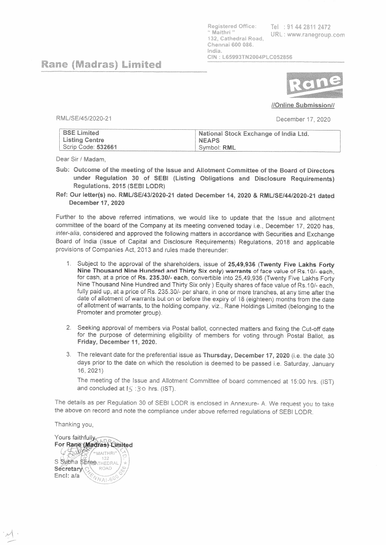Registered Office: " Maithri " 132, Cathedral Road. Chennai 600 086. India. CIN: L65993TN2004PLC052856

Tel: 91 44 2811 2472 URL: www.ranegroup.com

## **Rane (Madras) Limited**



## //Online Submission//

RML/SE/45/2020-21

December 17, 2020

| <b>BSE Limited</b> | National Stock Exchange of India Ltd. |
|--------------------|---------------------------------------|
| Listing Centre     | <b>NEAPS</b>                          |
| Scrip Code: 532661 | ' Svmbol: RML.                        |

Dear Sir / Madam.

Sub: Outcome of the meeting of the Issue and Allotment Committee of the Board of Directors under Regulation 30 of SEBI (Listing Obligations and Disclosure Requirements) Regulations, 2015 (SEBI LODR)

Ref: Our letter(s) no. RML/SE/43/2020-21 dated December 14, 2020 & RML/SE/44/2020-21 dated **December 17, 2020** 

Further to the above referred intimations, we would like to update that the Issue and allotment committee of the board of the Company at its meeting convened today i.e., December 17, 2020 has, inter-alia, considered and approved the following matters in accordance with Securities and Exchange Board of India (Issue of Capital and Disclosure Requirements) Regulations, 2018 and applicable provisions of Companies Act, 2013 and rules made thereunder:

- 1. Subject to the approval of the shareholders, issue of 25,49,936 (Twenty Five Lakhs Forty Nine Thousand Nine Hundred and Thirty Six only) warrants of face value of Rs.10/- each, for cash, at a price of Rs. 235.30/- each, convertible into 25,49,936 (Twenty Five Lakhs Forty Nine Thousand Nine Hundred and Thirty Six only ) Equity shares of face value of Rs. 10/- each. fully paid up, at a price of Rs. 235.30/- per share, in one or more tranches, at any time after the date of allotment of warrants but on or before the expiry of 18 (eighteen) months from the date of allotment of warrants, to the holding company, viz., Rane Holdings Limited (belonging to the Promoter and promoter group).
- 2. Seeking approval of members via Postal ballot, connected matters and fixing the Cut-off date for the purpose of determining eligibility of members for voting through Postal Ballot, as Friday, December 11, 2020.
- 3. The relevant date for the preferential issue as Thursday, December 17, 2020 (i.e. the date 30 days prior to the date on which the resolution is deemed to be passed i.e. Saturday, January 16, 2021)

The meeting of the Issue and Allotment Committee of board commenced at 15:00 hrs. (IST) and concluded at ES : 30 hrs. (IST).

The details as per Regulation 30 of SEBI LODR is enclosed in Annexure- A. We request you to take the above on record and note the compliance under above referred regulations of SEBI LODR.

Thanking you,

Yours faithfully For Rane (Madras) Limited  $4500$ "MAITHRI 132 S Subha Stines THEDRAL Secretary ROAD Encl: a/a  $N_{A1-6}$